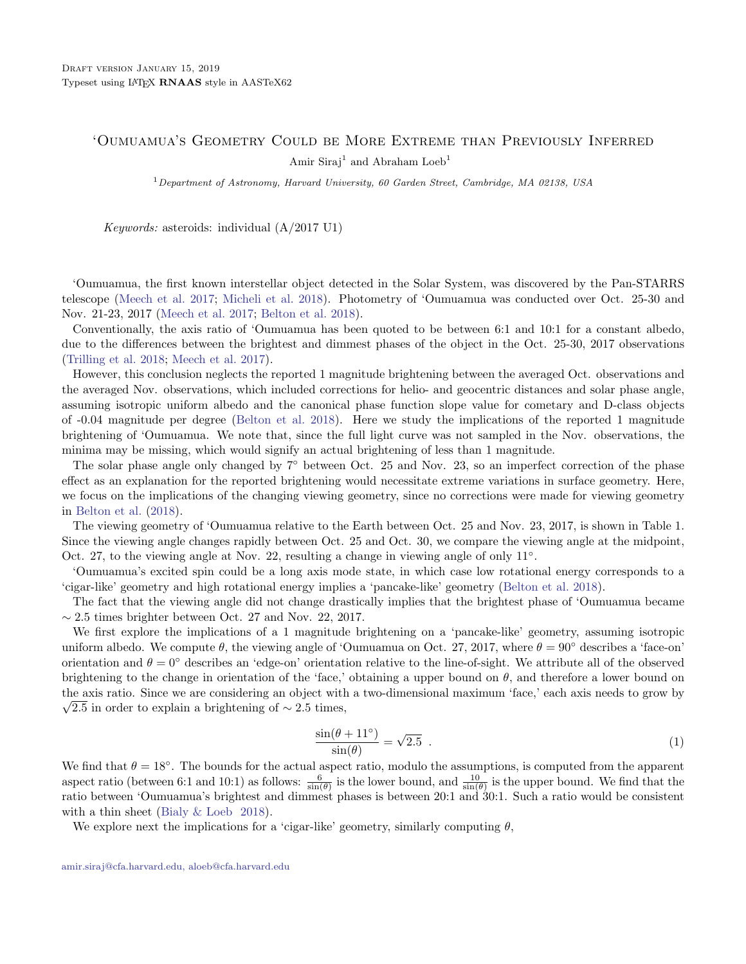## 'Oumuamua's Geometry Could be More Extreme than Previously Inferred Amir Siraj<sup>1</sup> and Abraham Loeb<sup>1</sup>

<sup>1</sup>Department of Astronomy, Harvard University, 60 Garden Street, Cambridge, MA 02138, USA

Keywords: asteroids: individual (A/2017 U1)

'Oumuamua, the first known interstellar object detected in the Solar System, was discovered by the Pan-STARRS telescope [\(Meech et al.](#page-3-0) [2017;](#page-3-0) [Micheli et al.](#page-3-1) [2018\)](#page-3-1). Photometry of 'Oumuamua was conducted over Oct. 25-30 and Nov. 21-23, 2017 [\(Meech et al.](#page-3-0) [2017;](#page-3-0) [Belton et al.](#page-3-2) [2018\)](#page-3-2).

Conventionally, the axis ratio of 'Oumuamua has been quoted to be between 6:1 and 10:1 for a constant albedo, due to the differences between the brightest and dimmest phases of the object in the Oct. 25-30, 2017 observations [\(Trilling et al.](#page-3-3) [2018;](#page-3-3) [Meech et al.](#page-3-0) [2017\)](#page-3-0).

However, this conclusion neglects the reported 1 magnitude brightening between the averaged Oct. observations and the averaged Nov. observations, which included corrections for helio- and geocentric distances and solar phase angle, assuming isotropic uniform albedo and the canonical phase function slope value for cometary and D-class objects of -0.04 magnitude per degree [\(Belton et al.](#page-3-2) [2018\)](#page-3-2). Here we study the implications of the reported 1 magnitude brightening of 'Oumuamua. We note that, since the full light curve was not sampled in the Nov. observations, the minima may be missing, which would signify an actual brightening of less than 1 magnitude.

The solar phase angle only changed by  $7^\circ$  between Oct. 25 and Nov. 23, so an imperfect correction of the phase effect as an explanation for the reported brightening would necessitate extreme variations in surface geometry. Here, we focus on the implications of the changing viewing geometry, since no corrections were made for viewing geometry in [Belton et al.](#page-3-2) [\(2018\)](#page-3-2).

The viewing geometry of 'Oumuamua relative to the Earth between Oct. 25 and Nov. 23, 2017, is shown in Table 1. Since the viewing angle changes rapidly between Oct. 25 and Oct. 30, we compare the viewing angle at the midpoint, Oct. 27, to the viewing angle at Nov. 22, resulting a change in viewing angle of only 11<sup>°</sup>.

'Oumuamua's excited spin could be a long axis mode state, in which case low rotational energy corresponds to a 'cigar-like' geometry and high rotational energy implies a 'pancake-like' geometry [\(Belton et al.](#page-3-2) [2018\)](#page-3-2).

The fact that the viewing angle did not change drastically implies that the brightest phase of 'Oumuamua became  $\sim$  2.5 times brighter between Oct. 27 and Nov. 22, 2017.

We first explore the implications of a 1 magnitude brightening on a 'pancake-like' geometry, assuming isotropic uniform albedo. We compute  $\theta$ , the viewing angle of 'Oumuamua on Oct. 27, 2017, where  $\theta = 90^{\circ}$  describes a 'face-on' orientation and  $\theta = 0^{\circ}$  describes an 'edge-on' orientation relative to the line-of-sight. We attribute all of the observed brightening to the change in orientation of the 'face,' obtaining a upper bound on  $\theta$ , and therefore a lower bound on the axis ratio. Since we are considering an object with a two-dimensional maximum 'face,' each axis needs to grow by √  $\sqrt{2.5}$  in order to explain a brightening of ~ 2.5 times,

$$
\frac{\sin(\theta + 11^{\circ})}{\sin(\theta)} = \sqrt{2.5} \tag{1}
$$

We find that  $\theta = 18^\circ$ . The bounds for the actual aspect ratio, modulo the assumptions, is computed from the apparent aspect ratio (between 6:1 and 10:1) as follows:  $\frac{6}{\sin(\theta)}$  is the lower bound, and  $\frac{10}{\sin(\theta)}$  is the upper bound. We find that the ratio between 'Oumuamua's brightest and dimmest phases is between 20:1 and 30:1. Such a ratio would be consistent with a thin sheet [\(Bialy & Loeb](#page-3-4) [2018\)](#page-3-4).

<span id="page-0-0"></span>We explore next the implications for a 'cigar-like' geometry, similarly computing  $\theta$ ,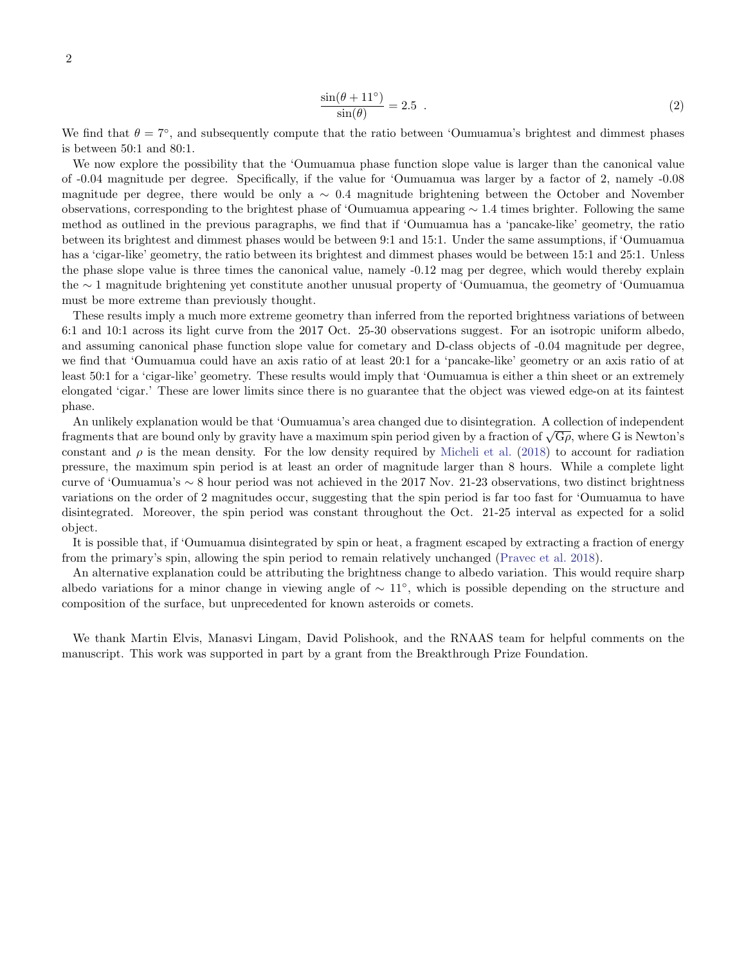$$
\frac{\sin(\theta + 11^{\circ})}{\sin(\theta)} = 2.5 \tag{2}
$$

We find that  $\theta = 7^{\circ}$ , and subsequently compute that the ratio between 'Oumuamua's brightest and dimmest phases is between 50:1 and 80:1.

We now explore the possibility that the 'Oumuamua phase function slope value is larger than the canonical value of -0.04 magnitude per degree. Specifically, if the value for 'Oumuamua was larger by a factor of 2, namely -0.08 magnitude per degree, there would be only a ∼ 0.4 magnitude brightening between the October and November observations, corresponding to the brightest phase of 'Oumuamua appearing ∼ 1.4 times brighter. Following the same method as outlined in the previous paragraphs, we find that if 'Oumuamua has a 'pancake-like' geometry, the ratio between its brightest and dimmest phases would be between 9:1 and 15:1. Under the same assumptions, if 'Oumuamua has a 'cigar-like' geometry, the ratio between its brightest and dimmest phases would be between 15:1 and 25:1. Unless the phase slope value is three times the canonical value, namely -0.12 mag per degree, which would thereby explain the ∼ 1 magnitude brightening yet constitute another unusual property of 'Oumuamua, the geometry of 'Oumuamua must be more extreme than previously thought.

These results imply a much more extreme geometry than inferred from the reported brightness variations of between 6:1 and 10:1 across its light curve from the 2017 Oct. 25-30 observations suggest. For an isotropic uniform albedo, and assuming canonical phase function slope value for cometary and D-class objects of -0.04 magnitude per degree, we find that 'Oumuamua could have an axis ratio of at least 20:1 for a 'pancake-like' geometry or an axis ratio of at least 50:1 for a 'cigar-like' geometry. These results would imply that 'Oumuamua is either a thin sheet or an extremely elongated 'cigar.' These are lower limits since there is no guarantee that the object was viewed edge-on at its faintest phase.

An unlikely explanation would be that 'Oumuamua's area changed due to disintegration. A collection of independent An uninery explanation would be that Oumuanity s area changed due to disintegration. A conection of independent fragments that are bound only by gravity have a maximum spin period given by a fraction of  $\sqrt{G\rho}$ , where G constant and  $\rho$  is the mean density. For the low density required by [Micheli et al.](#page-3-1) [\(2018\)](#page-3-1) to account for radiation pressure, the maximum spin period is at least an order of magnitude larger than 8 hours. While a complete light curve of 'Oumuamua's ∼ 8 hour period was not achieved in the 2017 Nov. 21-23 observations, two distinct brightness variations on the order of 2 magnitudes occur, suggesting that the spin period is far too fast for 'Oumuamua to have disintegrated. Moreover, the spin period was constant throughout the Oct. 21-25 interval as expected for a solid object.

It is possible that, if 'Oumuamua disintegrated by spin or heat, a fragment escaped by extracting a fraction of energy from the primary's spin, allowing the spin period to remain relatively unchanged [\(Pravec et al.](#page-3-5) [2018\)](#page-3-5).

An alternative explanation could be attributing the brightness change to albedo variation. This would require sharp albedo variations for a minor change in viewing angle of ∼ 11◦ , which is possible depending on the structure and composition of the surface, but unprecedented for known asteroids or comets.

We thank Martin Elvis, Manasvi Lingam, David Polishook, and the RNAAS team for helpful comments on the manuscript. This work was supported in part by a grant from the Breakthrough Prize Foundation.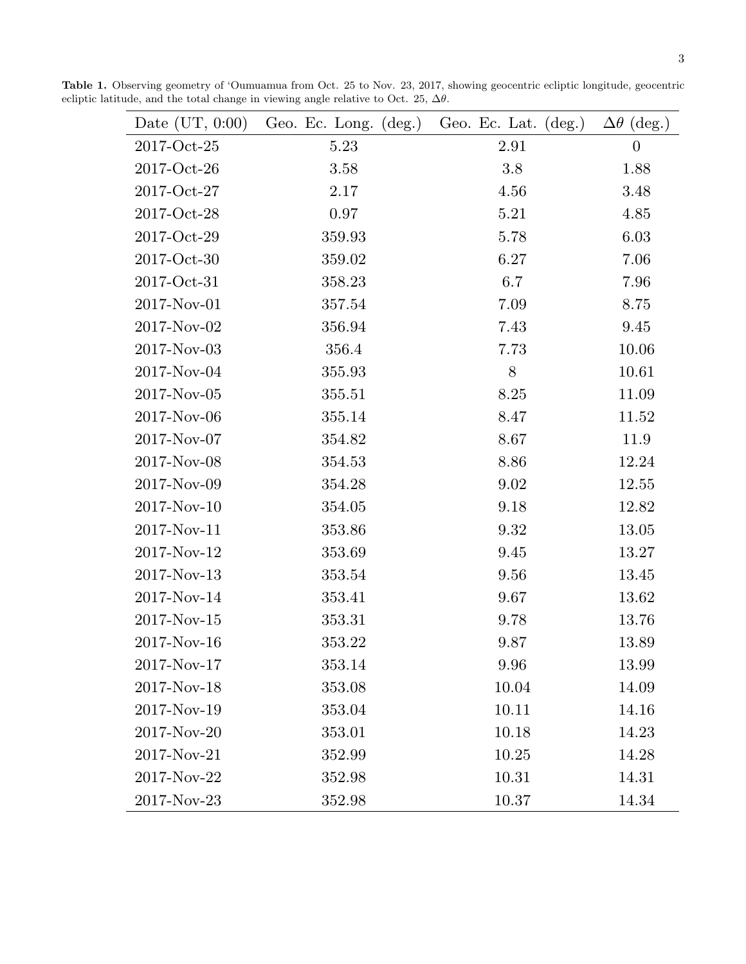Table 1. Observing geometry of 'Oumuamua from Oct. 25 to Nov. 23, 2017, showing geocentric ecliptic longitude, geocentric ecliptic latitude, and the total change in viewing angle relative to Oct. 25,  $\Delta \theta$ .

| Date $(UT, 0.00)$ | Geo. Ec. Long.<br>$(\text{deg.})$ | Geo. Ec. Lat.<br>$(\text{deg.})$ | $\Delta\theta$ (deg.) |
|-------------------|-----------------------------------|----------------------------------|-----------------------|
| 2017-Oct-25       | 5.23                              | 2.91                             | $\overline{0}$        |
| 2017-Oct-26       | 3.58                              | 3.8                              | 1.88                  |
| 2017-Oct-27       | 2.17                              | 4.56                             | 3.48                  |
| 2017-Oct-28       | 0.97                              | 5.21                             | 4.85                  |
| 2017-Oct-29       | 359.93                            | 5.78                             | 6.03                  |
| 2017-Oct-30       | 359.02                            | 6.27                             | 7.06                  |
| 2017-Oct-31       | 358.23                            | 6.7                              | 7.96                  |
| 2017-Nov-01       | 357.54                            | 7.09                             | 8.75                  |
| 2017-Nov-02       | 356.94                            | 7.43                             | 9.45                  |
| 2017-Nov-03       | 356.4                             | 7.73                             | 10.06                 |
| 2017-Nov-04       | 355.93                            | $8\,$                            | 10.61                 |
| 2017-Nov-05       | 355.51                            | 8.25                             | 11.09                 |
| 2017-Nov-06       | 355.14                            | 8.47                             | 11.52                 |
| 2017-Nov-07       | 354.82                            | 8.67                             | 11.9                  |
| 2017-Nov-08       | 354.53                            | 8.86                             | 12.24                 |
| 2017-Nov-09       | 354.28                            | 9.02                             | 12.55                 |
| 2017-Nov-10       | 354.05                            | 9.18                             | 12.82                 |
| 2017-Nov-11       | 353.86                            | 9.32                             | 13.05                 |
| 2017-Nov-12       | 353.69                            | 9.45                             | 13.27                 |
| 2017-Nov-13       | 353.54                            | 9.56                             | 13.45                 |
| 2017-Nov-14       | 353.41                            | 9.67                             | 13.62                 |
| 2017-Nov-15       | 353.31                            | 9.78                             | 13.76                 |
| 2017-Nov-16       | 353.22                            | 9.87                             | 13.89                 |
| 2017-Nov-17       | 353.14                            | 9.96                             | 13.99                 |
| 2017-Nov-18       | 353.08                            | 10.04                            | 14.09                 |
| 2017-Nov-19       | 353.04                            | 10.11                            | 14.16                 |
| 2017-Nov-20       | 353.01                            | 10.18                            | 14.23                 |
| 2017-Nov-21       | 352.99                            | 10.25                            | 14.28                 |
| 2017-Nov-22       | 352.98                            | 10.31                            | 14.31                 |
| 2017-Nov-23       | 352.98                            | 10.37                            | 14.34                 |